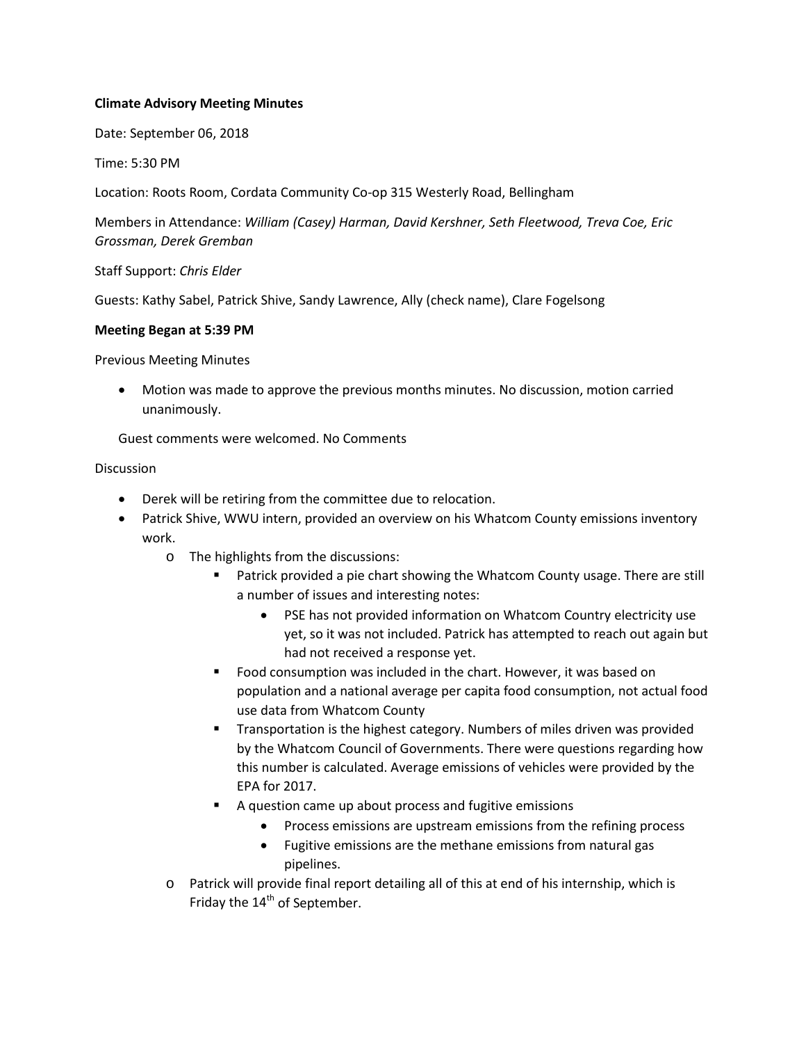## **Climate Advisory Meeting Minutes**

Date: September 06, 2018

Time: 5:30 PM

Location: Roots Room, Cordata Community Co-op 315 Westerly Road, Bellingham

Members in Attendance: *William (Casey) Harman, David Kershner, Seth Fleetwood, Treva Coe, Eric Grossman, Derek Gremban*

Staff Support: *Chris Elder*

Guests: Kathy Sabel, Patrick Shive, Sandy Lawrence, Ally (check name), Clare Fogelsong

## **Meeting Began at 5:39 PM**

Previous Meeting Minutes

• Motion was made to approve the previous months minutes. No discussion, motion carried unanimously.

Guest comments were welcomed. No Comments

## **Discussion**

- Derek will be retiring from the committee due to relocation.
- Patrick Shive, WWU intern, provided an overview on his Whatcom County emissions inventory work.
	- o The highlights from the discussions:
		- Patrick provided a pie chart showing the Whatcom County usage. There are still a number of issues and interesting notes:
			- PSE has not provided information on Whatcom Country electricity use yet, so it was not included. Patrick has attempted to reach out again but had not received a response yet.
		- **FICOM** Food consumption was included in the chart. However, it was based on population and a national average per capita food consumption, not actual food use data from Whatcom County
		- Transportation is the highest category. Numbers of miles driven was provided by the Whatcom Council of Governments. There were questions regarding how this number is calculated. Average emissions of vehicles were provided by the EPA for 2017.
		- A question came up about process and fugitive emissions
			- Process emissions are upstream emissions from the refining process
			- Fugitive emissions are the methane emissions from natural gas pipelines.
	- o Patrick will provide final report detailing all of this at end of his internship, which is Friday the 14<sup>th</sup> of September.